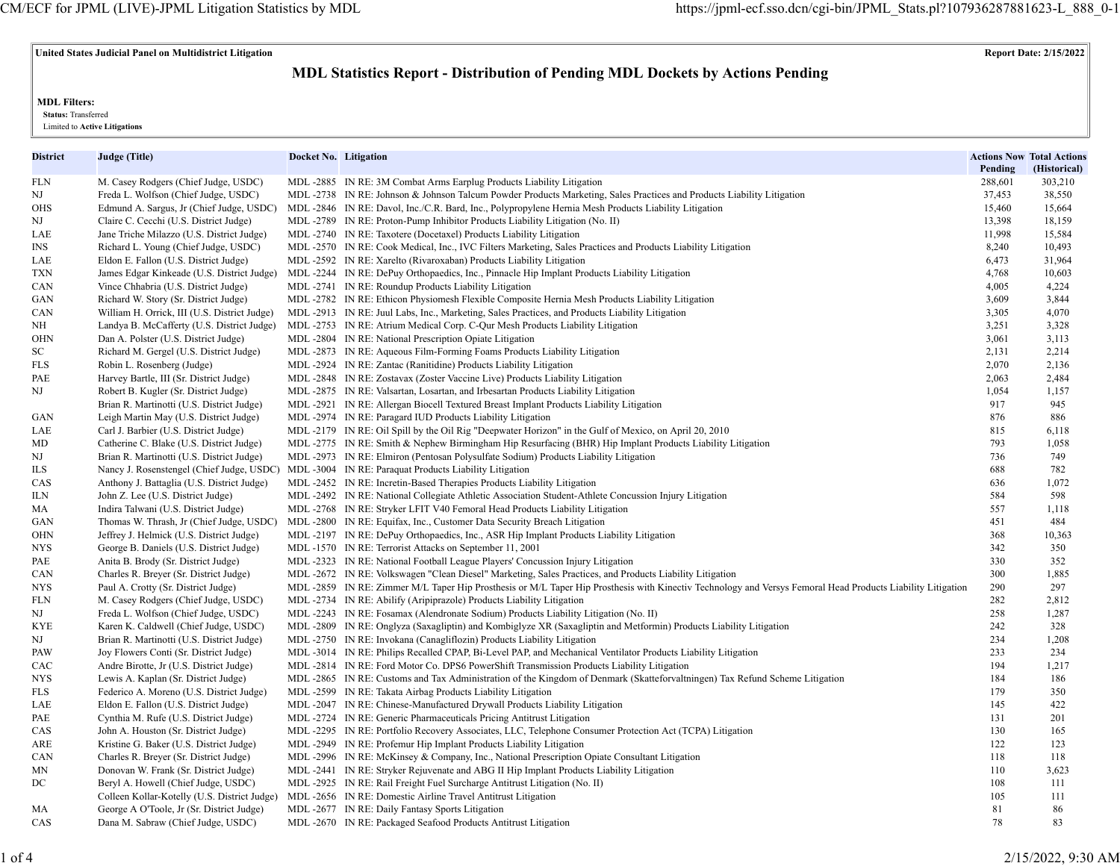# **United States Judicial Panel on Multidistrict Litigation Report Date: 2/15/2022**

# **MDL Statistics Report - Distribution of Pending MDL Dockets by Actions Pending**

**MDL Filters:**

 **Status:** Transferred

Limited to **Active Litigations**

| District | Judge (Title)                                | Docket No. Litigation |                                                                                                                                                            | Pending | <b>Actions Now Total Actions</b><br>(Historical) |
|----------|----------------------------------------------|-----------------------|------------------------------------------------------------------------------------------------------------------------------------------------------------|---------|--------------------------------------------------|
| FLN      | M. Casey Rodgers (Chief Judge, USDC)         |                       | MDL -2885 IN RE: 3M Combat Arms Earplug Products Liability Litigation                                                                                      | 288,601 | 303,210                                          |
| NJ       | Freda L. Wolfson (Chief Judge, USDC)         |                       | MDL -2738 IN RE: Johnson & Johnson Talcum Powder Products Marketing, Sales Practices and Products Liability Litigation                                     | 37,453  | 38,550                                           |
| OHS      | Edmund A. Sargus, Jr (Chief Judge, USDC)     |                       | MDL-2846 IN RE: Davol, Inc./C.R. Bard, Inc., Polypropylene Hernia Mesh Products Liability Litigation                                                       | 15,460  | 15,664                                           |
| NJ       | Claire C. Cecchi (U.S. District Judge)       |                       | MDL-2789 IN RE: Proton-Pump Inhibitor Products Liability Litigation (No. II)                                                                               | 13,398  | 18,159                                           |
| LAE      | Jane Triche Milazzo (U.S. District Judge)    |                       | MDL-2740 IN RE: Taxotere (Docetaxel) Products Liability Litigation                                                                                         | 11,998  | 15,584                                           |
| INS      | Richard L. Young (Chief Judge, USDC)         |                       | MDL-2570 IN RE: Cook Medical, Inc., IVC Filters Marketing, Sales Practices and Products Liability Litigation                                               | 8,240   | 10,493                                           |
| LAE      | Eldon E. Fallon (U.S. District Judge)        |                       | MDL -2592 IN RE: Xarelto (Rivaroxaban) Products Liability Litigation                                                                                       | 6,473   | 31,964                                           |
| TXN      | James Edgar Kinkeade (U.S. District Judge)   |                       | MDL -2244 IN RE: DePuy Orthopaedics, Inc., Pinnacle Hip Implant Products Liability Litigation                                                              | 4,768   | 10,603                                           |
| CAN      | Vince Chhabria (U.S. District Judge)         |                       | MDL -2741 IN RE: Roundup Products Liability Litigation                                                                                                     | 4,005   | 4,224                                            |
| GAN      | Richard W. Story (Sr. District Judge)        |                       | MDL-2782 IN RE: Ethicon Physiomesh Flexible Composite Hernia Mesh Products Liability Litigation                                                            | 3,609   | 3,844                                            |
| CAN      | William H. Orrick, III (U.S. District Judge) |                       | MDL-2913 IN RE: Juul Labs, Inc., Marketing, Sales Practices, and Products Liability Litigation                                                             | 3,305   | 4,070                                            |
| NΗ       | Landya B. McCafferty (U.S. District Judge)   |                       | MDL -2753 IN RE: Atrium Medical Corp. C-Qur Mesh Products Liability Litigation                                                                             | 3,251   | 3,328                                            |
| OHN      | Dan A. Polster (U.S. District Judge)         |                       | MDL -2804 IN RE: National Prescription Opiate Litigation                                                                                                   | 3,061   | 3,113                                            |
| SC       | Richard M. Gergel (U.S. District Judge)      |                       | MDL-2873 IN RE: Aqueous Film-Forming Foams Products Liability Litigation                                                                                   | 2,131   | 2,214                                            |
| FLS      | Robin L. Rosenberg (Judge)                   |                       | MDL -2924 IN RE: Zantac (Ranitidine) Products Liability Litigation                                                                                         | 2,070   | 2,136                                            |
| PAE      | Harvey Bartle, III (Sr. District Judge)      |                       | MDL -2848 IN RE: Zostavax (Zoster Vaccine Live) Products Liability Litigation                                                                              | 2,063   | 2,484                                            |
| NJ       | Robert B. Kugler (Sr. District Judge)        |                       | MDL-2875 IN RE: Valsartan, Losartan, and Irbesartan Products Liability Litigation                                                                          | 1,054   | 1,157                                            |
|          | Brian R. Martinotti (U.S. District Judge)    |                       | MDL-2921 IN RE: Allergan Biocell Textured Breast Implant Products Liability Litigation                                                                     | 917     | 945                                              |
| GAN      | Leigh Martin May (U.S. District Judge)       |                       | MDL-2974 IN RE: Paragard IUD Products Liability Litigation                                                                                                 | 876     | 886                                              |
| LAE      | Carl J. Barbier (U.S. District Judge)        |                       | MDL-2179 IN RE: Oil Spill by the Oil Rig "Deepwater Horizon" in the Gulf of Mexico, on April 20, 2010                                                      | 815     | 6,118                                            |
| MD       | Catherine C. Blake (U.S. District Judge)     |                       | MDL-2775 IN RE: Smith & Nephew Birmingham Hip Resurfacing (BHR) Hip Implant Products Liability Litigation                                                  | 793     | 1,058                                            |
| NJ       | Brian R. Martinotti (U.S. District Judge)    |                       | MDL-2973 IN RE: Elmiron (Pentosan Polysulfate Sodium) Products Liability Litigation                                                                        | 736     | 749                                              |
| ILS      | Nancy J. Rosenstengel (Chief Judge, USDC)    |                       | MDL -3004 IN RE: Paraquat Products Liability Litigation                                                                                                    | 688     | 782                                              |
| CAS      | Anthony J. Battaglia (U.S. District Judge)   |                       | MDL-2452 IN RE: Incretin-Based Therapies Products Liability Litigation                                                                                     | 636     | 1,072                                            |
| ILN      | John Z. Lee (U.S. District Judge)            |                       | MDL-2492 IN RE: National Collegiate Athletic Association Student-Athlete Concussion Injury Litigation                                                      | 584     | 598                                              |
| MA       | Indira Talwani (U.S. District Judge)         |                       | MDL -2768 IN RE: Stryker LFIT V40 Femoral Head Products Liability Litigation                                                                               | 557     | 1,118                                            |
| GAN      | Thomas W. Thrash, Jr (Chief Judge, USDC)     |                       | MDL-2800 IN RE: Equifax, Inc., Customer Data Security Breach Litigation                                                                                    | 451     | 484                                              |
| OHN      | Jeffrey J. Helmick (U.S. District Judge)     |                       | MDL-2197 IN RE: DePuy Orthopaedics, Inc., ASR Hip Implant Products Liability Litigation                                                                    | 368     | 10,363                                           |
| NYS      | George B. Daniels (U.S. District Judge)      |                       | MDL-1570 IN RE: Terrorist Attacks on September 11, 2001                                                                                                    | 342     | 350                                              |
| PAE      | Anita B. Brody (Sr. District Judge)          |                       | MDL -2323 IN RE: National Football League Players' Concussion Injury Litigation                                                                            | 330     | 352                                              |
| CAN      | Charles R. Breyer (Sr. District Judge)       |                       | MDL-2672 IN RE: Volkswagen "Clean Diesel" Marketing, Sales Practices, and Products Liability Litigation                                                    | 300     | 1,885                                            |
| NYS      | Paul A. Crotty (Sr. District Judge)          |                       | MDL-2859 IN RE: Zimmer M/L Taper Hip Prosthesis or M/L Taper Hip Prosthesis with Kinectiv Technology and Versys Femoral Head Products Liability Litigation | 290     | 297                                              |
| FLN      | M. Casey Rodgers (Chief Judge, USDC)         |                       | MDL -2734 IN RE: Abilify (Aripiprazole) Products Liability Litigation                                                                                      | 282     | 2,812                                            |
| NJ       | Freda L. Wolfson (Chief Judge, USDC)         |                       | MDL-2243 IN RE: Fosamax (Alendronate Sodium) Products Liability Litigation (No. II)                                                                        | 258     | 1,287                                            |
| KYE      | Karen K. Caldwell (Chief Judge, USDC)        |                       | MDL-2809 IN RE: Onglyza (Saxagliptin) and Kombiglyze XR (Saxagliptin and Metformin) Products Liability Litigation                                          | 242     | 328                                              |
| NJ       | Brian R. Martinotti (U.S. District Judge)    |                       | MDL-2750 IN RE: Invokana (Canagliflozin) Products Liability Litigation                                                                                     | 234     | 1,208                                            |
| PAW      | Joy Flowers Conti (Sr. District Judge)       |                       | MDL -3014 IN RE: Philips Recalled CPAP, Bi-Level PAP, and Mechanical Ventilator Products Liability Litigation                                              | 233     | 234                                              |
| CAC      | Andre Birotte, Jr (U.S. District Judge)      |                       | MDL -2814 IN RE: Ford Motor Co. DPS6 PowerShift Transmission Products Liability Litigation                                                                 | 194     | 1,217                                            |
| NYS      | Lewis A. Kaplan (Sr. District Judge)         |                       | MDL-2865 IN RE: Customs and Tax Administration of the Kingdom of Denmark (Skatteforvaltningen) Tax Refund Scheme Litigation                                | 184     | 186                                              |
| FLS      | Federico A. Moreno (U.S. District Judge)     |                       | MDL-2599 IN RE: Takata Airbag Products Liability Litigation                                                                                                | 179     | 350                                              |
| LAE      | Eldon E. Fallon (U.S. District Judge)        |                       | MDL -2047 IN RE: Chinese-Manufactured Drywall Products Liability Litigation                                                                                | 145     | 422                                              |
| PAE      | Cynthia M. Rufe (U.S. District Judge)        |                       | MDL -2724 IN RE: Generic Pharmaceuticals Pricing Antitrust Litigation                                                                                      | 131     | 201                                              |
| CAS      | John A. Houston (Sr. District Judge)         |                       | MDL-2295 IN RE: Portfolio Recovery Associates, LLC, Telephone Consumer Protection Act (TCPA) Litigation                                                    | 130     | 165                                              |
| ARE      | Kristine G. Baker (U.S. District Judge)      |                       | MDL-2949 IN RE: Profemur Hip Implant Products Liability Litigation                                                                                         | 122     | 123                                              |
| CAN      | Charles R. Breyer (Sr. District Judge)       |                       | MDL-2996 IN RE: McKinsey & Company, Inc., National Prescription Opiate Consultant Litigation                                                               | 118     | 118                                              |
| MΝ       | Donovan W. Frank (Sr. District Judge)        |                       | MDL-2441 IN RE: Stryker Rejuvenate and ABG II Hip Implant Products Liability Litigation                                                                    | 110     | 3,623                                            |
| DC       | Beryl A. Howell (Chief Judge, USDC)          |                       | MDL -2925 IN RE: Rail Freight Fuel Surcharge Antitrust Litigation (No. II)                                                                                 | 108     | 111                                              |
|          | Colleen Kollar-Kotelly (U.S. District Judge) |                       | MDL -2656 IN RE: Domestic Airline Travel Antitrust Litigation                                                                                              | 105     | 111                                              |
| МA       | George A O'Toole, Jr (Sr. District Judge)    |                       | MDL -2677 IN RE: Daily Fantasy Sports Litigation                                                                                                           | 81      | 86                                               |
| CAS      | Dana M. Sabraw (Chief Judge, USDC)           |                       | MDL-2670 IN RE: Packaged Seafood Products Antitrust Litigation                                                                                             | 78      | 83                                               |
|          |                                              |                       |                                                                                                                                                            |         |                                                  |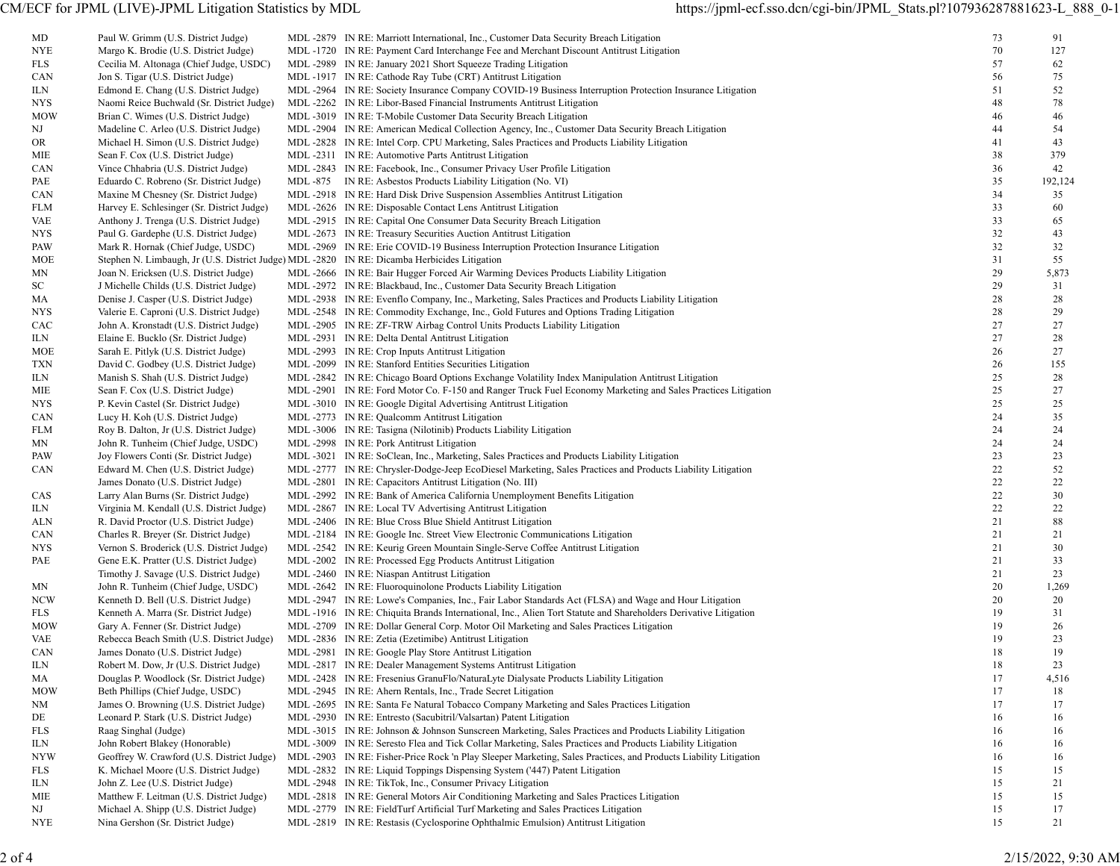| MD         | Paul W. Grimm (U.S. District Judge)                                                          | MDL-2879 IN RE: Marriott International, Inc., Customer Data Security Breach Litigation                                                                                                                    | 73       | 91          |
|------------|----------------------------------------------------------------------------------------------|-----------------------------------------------------------------------------------------------------------------------------------------------------------------------------------------------------------|----------|-------------|
| <b>NYE</b> | Margo K. Brodie (U.S. District Judge)                                                        | MDL-1720 IN RE: Payment Card Interchange Fee and Merchant Discount Antitrust Litigation                                                                                                                   | 70       | 127         |
| FLS        | Cecilia M. Altonaga (Chief Judge, USDC)                                                      | MDL-2989 IN RE: January 2021 Short Squeeze Trading Litigation                                                                                                                                             | 57       | 62          |
| <b>CAN</b> | Jon S. Tigar (U.S. District Judge)                                                           | MDL-1917 IN RE: Cathode Ray Tube (CRT) Antitrust Litigation                                                                                                                                               | 56       | 75          |
| ILN.       | Edmond E. Chang (U.S. District Judge)                                                        | MDL-2964 IN RE: Society Insurance Company COVID-19 Business Interruption Protection Insurance Litigation                                                                                                  | 51       | 52          |
| NYS        | Naomi Reice Buchwald (Sr. District Judge)                                                    | MDL -2262 IN RE: Libor-Based Financial Instruments Antitrust Litigation                                                                                                                                   | 48       | 78          |
| MOW        | Brian C. Wimes (U.S. District Judge)                                                         | MDL -3019 IN RE: T-Mobile Customer Data Security Breach Litigation                                                                                                                                        | 46       | 46          |
| NJ         | Madeline C. Arleo (U.S. District Judge)                                                      | MDL-2904 IN RE: American Medical Collection Agency, Inc., Customer Data Security Breach Litigation                                                                                                        | 44       | 54          |
| OR.        | Michael H. Simon (U.S. District Judge)                                                       | MDL-2828 IN RE: Intel Corp. CPU Marketing, Sales Practices and Products Liability Litigation                                                                                                              | 41       | 43          |
| МIЕ        | Sean F. Cox (U.S. District Judge)                                                            | MDL-2311 IN RE: Automotive Parts Antitrust Litigation                                                                                                                                                     | 38       | 379         |
| CAN        | Vince Chhabria (U.S. District Judge)                                                         | MDL -2843 IN RE: Facebook, Inc., Consumer Privacy User Profile Litigation                                                                                                                                 | 36       | 42          |
| PAE        | Eduardo C. Robreno (Sr. District Judge)                                                      | MDL -875 IN RE: Asbestos Products Liability Litigation (No. VI)                                                                                                                                           | 35       | 192,124     |
| CAN        | Maxine M Chesney (Sr. District Judge)                                                        | MDL -2918 IN RE: Hard Disk Drive Suspension Assemblies Antitrust Litigation                                                                                                                               | 34       | 35          |
| FLM        | Harvey E. Schlesinger (Sr. District Judge)                                                   | MDL -2626 IN RE: Disposable Contact Lens Antitrust Litigation                                                                                                                                             | 33       | 60          |
| VAE        | Anthony J. Trenga (U.S. District Judge)                                                      | MDL -2915 IN RE: Capital One Consumer Data Security Breach Litigation                                                                                                                                     | 33       | 65          |
| NYS        | Paul G. Gardephe (U.S. District Judge)                                                       | MDL -2673 IN RE: Treasury Securities Auction Antitrust Litigation                                                                                                                                         | 32       | 43          |
| PAW        | Mark R. Hornak (Chief Judge, USDC)                                                           | MDL -2969 IN RE: Erie COVID-19 Business Interruption Protection Insurance Litigation                                                                                                                      | 32       | 32          |
| MOE        | Stephen N. Limbaugh, Jr (U.S. District Judge) MDL -2820 IN RE: Dicamba Herbicides Litigation |                                                                                                                                                                                                           | 31       | 55          |
| MΝ         | Joan N. Ericksen (U.S. District Judge)                                                       | MDL-2666 IN RE: Bair Hugger Forced Air Warming Devices Products Liability Litigation                                                                                                                      | 29       | 5,873       |
| SC         | J Michelle Childs (U.S. District Judge)                                                      | MDL -2972 IN RE: Blackbaud, Inc., Customer Data Security Breach Litigation                                                                                                                                | 29       | 31          |
| МA         | Denise J. Casper (U.S. District Judge)                                                       | MDL-2938 IN RE: Evenflo Company, Inc., Marketing, Sales Practices and Products Liability Litigation                                                                                                       | 28       | 28          |
| NYS.       | Valerie E. Caproni (U.S. District Judge)                                                     | MDL -2548 IN RE: Commodity Exchange, Inc., Gold Futures and Options Trading Litigation                                                                                                                    | 28       | 29          |
| CAC        | John A. Kronstadt (U.S. District Judge)                                                      | MDL -2905 IN RE: ZF-TRW Airbag Control Units Products Liability Litigation                                                                                                                                | 27       | 27          |
| ILN        | Elaine E. Bucklo (Sr. District Judge)                                                        | MDL -2931 IN RE: Delta Dental Antitrust Litigation                                                                                                                                                        | 27       | 28          |
| MOE        | Sarah E. Pitlyk (U.S. District Judge)                                                        | MDL -2993 IN RE: Crop Inputs Antitrust Litigation                                                                                                                                                         | 26       | 27          |
| TXN        | David C. Godbey (U.S. District Judge)                                                        | MDL -2099 IN RE: Stanford Entities Securities Litigation                                                                                                                                                  | 26       | 155         |
| ILN        | Manish S. Shah (U.S. District Judge)                                                         | MDL-2842 IN RE: Chicago Board Options Exchange Volatility Index Manipulation Antitrust Litigation                                                                                                         | 25       | 28          |
| MIE        | Sean F. Cox (U.S. District Judge)                                                            | MDL-2901 IN RE: Ford Motor Co. F-150 and Ranger Truck Fuel Economy Marketing and Sales Practices Litigation                                                                                               | 25       | 27          |
| NYS        | P. Kevin Castel (Sr. District Judge)                                                         | MDL -3010 IN RE: Google Digital Advertising Antitrust Litigation                                                                                                                                          | 25       | 25          |
| CAN        | Lucy H. Koh (U.S. District Judge)                                                            | MDL -2773 IN RE: Qualcomm Antitrust Litigation                                                                                                                                                            | 24       | 35          |
| FLM        | Roy B. Dalton, Jr (U.S. District Judge)                                                      | MDL -3006 IN RE: Tasigna (Nilotinib) Products Liability Litigation                                                                                                                                        | 24       | 24          |
| MΝ         | John R. Tunheim (Chief Judge, USDC)                                                          | MDL -2998 IN RE: Pork Antitrust Litigation                                                                                                                                                                | 24       | 24          |
| PAW        | Joy Flowers Conti (Sr. District Judge)                                                       | MDL-3021 IN RE: SoClean, Inc., Marketing, Sales Practices and Products Liability Litigation                                                                                                               | 23       | 23          |
| CAN        | Edward M. Chen (U.S. District Judge)                                                         | MDL-2777 IN RE: Chrysler-Dodge-Jeep EcoDiesel Marketing, Sales Practices and Products Liability Litigation                                                                                                | 22       | 52          |
|            | James Donato (U.S. District Judge)                                                           | MDL -2801 IN RE: Capacitors Antitrust Litigation (No. III)                                                                                                                                                | 22       | 22          |
| CAS        | Larry Alan Burns (Sr. District Judge)                                                        | MDL-2992 IN RE: Bank of America California Unemployment Benefits Litigation                                                                                                                               | 22       | 30          |
| ILN        | Virginia M. Kendall (U.S. District Judge)                                                    | MDL -2867 IN RE: Local TV Advertising Antitrust Litigation                                                                                                                                                | 22       | 22          |
| ALN        | R. David Proctor (U.S. District Judge)                                                       | MDL -2406 IN RE: Blue Cross Blue Shield Antitrust Litigation                                                                                                                                              | 21       | 88          |
| CAN        | Charles R. Breyer (Sr. District Judge)                                                       | MDL-2184 IN RE: Google Inc. Street View Electronic Communications Litigation                                                                                                                              | 21       | 21          |
| NYS        | Vernon S. Broderick (U.S. District Judge)                                                    | MDL -2542 IN RE: Keurig Green Mountain Single-Serve Coffee Antitrust Litigation                                                                                                                           | 21       | 30          |
| PAE        | Gene E.K. Pratter (U.S. District Judge)                                                      | MDL -2002 IN RE: Processed Egg Products Antitrust Litigation                                                                                                                                              | 21       | 33          |
|            | Timothy J. Savage (U.S. District Judge)<br>John R. Tunheim (Chief Judge, USDC)               | MDL -2460 IN RE: Niaspan Antitrust Litigation                                                                                                                                                             | 21<br>20 | 23<br>1,269 |
| MΝ         | Kenneth D. Bell (U.S. District Judge)                                                        | MDL-2642 IN RE: Fluoroquinolone Products Liability Litigation<br>MDL-2947 IN RE: Lowe's Companies, Inc., Fair Labor Standards Act (FLSA) and Wage and Hour Litigation                                     | 20       | 20          |
| NCW        |                                                                                              |                                                                                                                                                                                                           |          |             |
| FLS<br>MOW | Kenneth A. Marra (Sr. District Judge)<br>Gary A. Fenner (Sr. District Judge)                 | MDL-1916 IN RE: Chiquita Brands International, Inc., Alien Tort Statute and Shareholders Derivative Litigation<br>MDL-2709 IN RE: Dollar General Corp. Motor Oil Marketing and Sales Practices Litigation | 19<br>19 | 31<br>26    |
| VAE        |                                                                                              | MDL -2836 IN RE: Zetia (Ezetimibe) Antitrust Litigation                                                                                                                                                   | 19       | 23          |
| CAN        | Rebecca Beach Smith (U.S. District Judge)<br>James Donato (U.S. District Judge)              | MDL -2981 IN RE: Google Play Store Antitrust Litigation                                                                                                                                                   | 18       | 19          |
| ILN        | Robert M. Dow, Jr (U.S. District Judge)                                                      | MDL -2817 IN RE: Dealer Management Systems Antitrust Litigation                                                                                                                                           | 18       | 23          |
| МA         | Douglas P. Woodlock (Sr. District Judge)                                                     | MDL -2428 IN RE: Fresenius GranuFlo/NaturaLyte Dialysate Products Liability Litigation                                                                                                                    | 17       | 4,516       |
| MOW        | Beth Phillips (Chief Judge, USDC)                                                            | MDL -2945 IN RE: Ahern Rentals, Inc., Trade Secret Litigation                                                                                                                                             | 17       | 18          |
| NΜ         | James O. Browning (U.S. District Judge)                                                      | MDL-2695 IN RE: Santa Fe Natural Tobacco Company Marketing and Sales Practices Litigation                                                                                                                 | 17       | 17          |
| DE         | Leonard P. Stark (U.S. District Judge)                                                       | MDL -2930 IN RE: Entresto (Sacubitril/Valsartan) Patent Litigation                                                                                                                                        | 16       | 16          |
| FLS        | Raag Singhal (Judge)                                                                         | MDL-3015 IN RE: Johnson & Johnson Sunscreen Marketing, Sales Practices and Products Liability Litigation                                                                                                  | 16       | 16          |
| ILN        | John Robert Blakey (Honorable)                                                               | MDL-3009 IN RE: Seresto Flea and Tick Collar Marketing, Sales Practices and Products Liability Litigation                                                                                                 | 16       | 16          |
| <b>NYW</b> | Geoffrey W. Crawford (U.S. District Judge)                                                   | MDL-2903 IN RE: Fisher-Price Rock 'n Play Sleeper Marketing, Sales Practices, and Products Liability Litigation                                                                                           | 16       | 16          |
| FLS        | K. Michael Moore (U.S. District Judge)                                                       | MDL -2832 IN RE: Liquid Toppings Dispensing System ('447) Patent Litigation                                                                                                                               | 15       | 15          |
| ILN        | John Z. Lee (U.S. District Judge)                                                            | MDL -2948 IN RE: TikTok, Inc., Consumer Privacy Litigation                                                                                                                                                | 15       | 21          |
| MIE        | Matthew F. Leitman (U.S. District Judge)                                                     | MDL-2818 IN RE: General Motors Air Conditioning Marketing and Sales Practices Litigation                                                                                                                  | 15       | 15          |
| NJ         | Michael A. Shipp (U.S. District Judge)                                                       | MDL-2779 IN RE: FieldTurf Artificial Turf Marketing and Sales Practices Litigation                                                                                                                        | 15       | 17          |
| NYE        | Nina Gershon (Sr. District Judge)                                                            | MDL-2819 IN RE: Restasis (Cyclosporine Ophthalmic Emulsion) Antitrust Litigation                                                                                                                          | 15       | 21          |
|            |                                                                                              |                                                                                                                                                                                                           |          |             |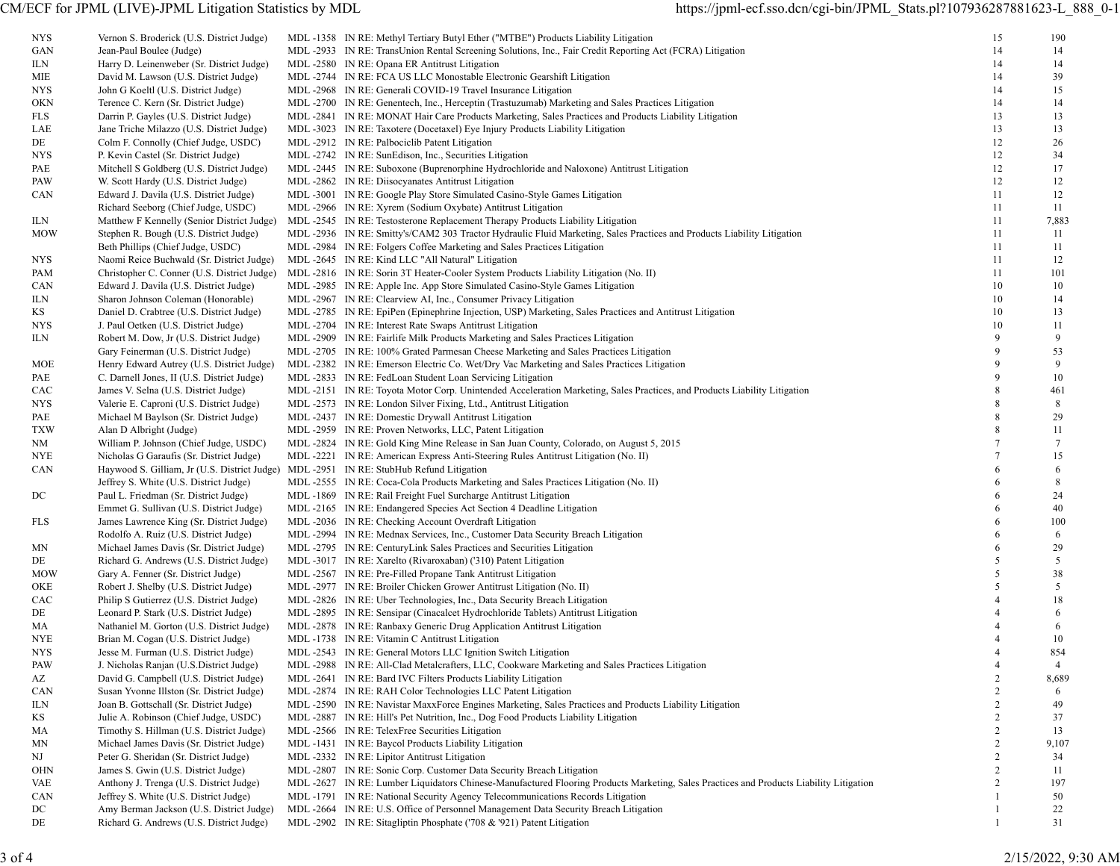| NYS        | Vernon S. Broderick (U.S. District Judge)                                               | MDL -1358 IN RE: Methyl Tertiary Butyl Ether ("MTBE") Products Liability Litigation                                                    | 15             | 190             |
|------------|-----------------------------------------------------------------------------------------|----------------------------------------------------------------------------------------------------------------------------------------|----------------|-----------------|
| GAN        | Jean-Paul Boulee (Judge)                                                                | MDL -2933 IN RE: TransUnion Rental Screening Solutions, Inc., Fair Credit Reporting Act (FCRA) Litigation                              | 14             | 14              |
| ILN        | Harry D. Leinenweber (Sr. District Judge)                                               | MDL -2580 IN RE: Opana ER Antitrust Litigation                                                                                         | 14             | 14              |
| MIE        | David M. Lawson (U.S. District Judge)                                                   | MDL -2744 IN RE: FCA US LLC Monostable Electronic Gearshift Litigation                                                                 | 14             | 39              |
| NYS.       | John G Koeltl (U.S. District Judge)                                                     | MDL -2968 IN RE: Generali COVID-19 Travel Insurance Litigation                                                                         | 14             | 15              |
| OKN        | Terence C. Kern (Sr. District Judge)                                                    | MDL-2700 IN RE: Genentech, Inc., Herceptin (Trastuzumab) Marketing and Sales Practices Litigation                                      | 14             | 14              |
| <b>FLS</b> | Darrin P. Gayles (U.S. District Judge)                                                  | MDL-2841 IN RE: MONAT Hair Care Products Marketing, Sales Practices and Products Liability Litigation                                  | 13             | 13              |
| LAE        | Jane Triche Milazzo (U.S. District Judge)                                               | MDL -3023 IN RE: Taxotere (Docetaxel) Eye Injury Products Liability Litigation                                                         | 13             | 13              |
| DE         | Colm F. Connolly (Chief Judge, USDC)                                                    | MDL -2912 IN RE: Palbociclib Patent Litigation                                                                                         | 12             | 26              |
| NYS.       | P. Kevin Castel (Sr. District Judge)                                                    | MDL -2742 IN RE: SunEdison, Inc., Securities Litigation                                                                                | 12             | 34              |
|            |                                                                                         |                                                                                                                                        | 12             | 17              |
| PAE        | Mitchell S Goldberg (U.S. District Judge)                                               | MDL-2445 IN RE: Suboxone (Buprenorphine Hydrochloride and Naloxone) Antitrust Litigation                                               |                |                 |
| PAW        | W. Scott Hardy (U.S. District Judge)                                                    | MDL -2862 IN RE: Diisocyanates Antitrust Litigation                                                                                    | 12             | 12              |
| CAN        | Edward J. Davila (U.S. District Judge)                                                  | MDL -3001 IN RE: Google Play Store Simulated Casino-Style Games Litigation                                                             | 11             | 12              |
|            | Richard Seeborg (Chief Judge, USDC)                                                     | MDL -2966 IN RE: Xyrem (Sodium Oxybate) Antitrust Litigation                                                                           | 11             | 11              |
| ILN.       | Matthew F Kennelly (Senior District Judge)                                              | MDL -2545 IN RE: Testosterone Replacement Therapy Products Liability Litigation                                                        | 11             | 7,883           |
| <b>MOW</b> | Stephen R. Bough (U.S. District Judge)                                                  | MDL-2936 IN RE: Smitty's/CAM2 303 Tractor Hydraulic Fluid Marketing, Sales Practices and Products Liability Litigation                 | 11             | 11              |
|            | Beth Phillips (Chief Judge, USDC)                                                       | MDL -2984 IN RE: Folgers Coffee Marketing and Sales Practices Litigation                                                               | 11             | 11              |
| NYS.       | Naomi Reice Buchwald (Sr. District Judge)                                               | MDL -2645 IN RE: Kind LLC "All Natural" Litigation                                                                                     | 11             | 12              |
| PAM        | Christopher C. Conner (U.S. District Judge)                                             | MDL -2816 IN RE: Sorin 3T Heater-Cooler System Products Liability Litigation (No. II)                                                  | 11             | 101             |
| CAN        | Edward J. Davila (U.S. District Judge)                                                  | MDL -2985 IN RE: Apple Inc. App Store Simulated Casino-Style Games Litigation                                                          | 10             | 10              |
| ILN        | Sharon Johnson Coleman (Honorable)                                                      | MDL -2967 IN RE: Clearview AI, Inc., Consumer Privacy Litigation                                                                       | 10             | 14              |
| ΚS         | Daniel D. Crabtree (U.S. District Judge)                                                | MDL-2785 IN RE: EpiPen (Epinephrine Injection, USP) Marketing, Sales Practices and Antitrust Litigation                                | 10             | 13              |
| NYS.       | J. Paul Oetken (U.S. District Judge)                                                    | MDL -2704 IN RE: Interest Rate Swaps Antitrust Litigation                                                                              | 10             | 11              |
| ILN        | Robert M. Dow, Jr (U.S. District Judge)                                                 | MDL -2909 IN RE: Fairlife Milk Products Marketing and Sales Practices Litigation                                                       | 9              | 9               |
|            | Gary Feinerman (U.S. District Judge)                                                    | MDL-2705 IN RE: 100% Grated Parmesan Cheese Marketing and Sales Practices Litigation                                                   | 9              | 53              |
| MOE        | Henry Edward Autrey (U.S. District Judge)                                               | MDL-2382 IN RE: Emerson Electric Co. Wet/Dry Vac Marketing and Sales Practices Litigation                                              | $\mathbf Q$    | 9               |
| PAE        | C. Darnell Jones, II (U.S. District Judge)                                              | MDL -2833 IN RE: FedLoan Student Loan Servicing Litigation                                                                             | $\mathbf Q$    | 10              |
| CAC        | James V. Selna (U.S. District Judge)                                                    | MDL-2151 IN RE: Toyota Motor Corp. Unintended Acceleration Marketing, Sales Practices, and Products Liability Litigation               | 8              | 461             |
| NYS        | Valerie E. Caproni (U.S. District Judge)                                                | MDL -2573 IN RE: London Silver Fixing, Ltd., Antitrust Litigation                                                                      |                | 8               |
| PAE        | Michael M Baylson (Sr. District Judge)                                                  | MDL -2437 IN RE: Domestic Drywall Antitrust Litigation                                                                                 |                | 29              |
| <b>TXW</b> | Alan D Albright (Judge)                                                                 | MDL -2959 IN RE: Proven Networks, LLC, Patent Litigation                                                                               | 8              | 11              |
| NM         | William P. Johnson (Chief Judge, USDC)                                                  | MDL-2824 IN RE: Gold King Mine Release in San Juan County, Colorado, on August 5, 2015                                                 |                | $7\phantom{.0}$ |
| NYE        | Nicholas G Garaufis (Sr. District Judge)                                                | MDL-2221 IN RE: American Express Anti-Steering Rules Antitrust Litigation (No. II)                                                     |                | 15              |
| CAN        | Haywood S. Gilliam, Jr (U.S. District Judge) MDL -2951 IN RE: StubHub Refund Litigation |                                                                                                                                        | 6              | 6               |
|            | Jeffrey S. White (U.S. District Judge)                                                  | MDL-2555 IN RE: Coca-Cola Products Marketing and Sales Practices Litigation (No. II)                                                   | 6              | 8               |
|            |                                                                                         |                                                                                                                                        | 6              |                 |
| DC         | Paul L. Friedman (Sr. District Judge)                                                   | MDL -1869 IN RE: Rail Freight Fuel Surcharge Antitrust Litigation                                                                      | 6              | 24<br>40        |
|            | Emmet G. Sullivan (U.S. District Judge)                                                 | MDL -2165 IN RE: Endangered Species Act Section 4 Deadline Litigation                                                                  |                |                 |
| FLS        | James Lawrence King (Sr. District Judge)                                                | MDL -2036 IN RE: Checking Account Overdraft Litigation                                                                                 | 6              | 100             |
|            | Rodolfo A. Ruiz (U.S. District Judge)                                                   | MDL-2994 IN RE: Mednax Services, Inc., Customer Data Security Breach Litigation                                                        | 6              | 6               |
| MΝ         | Michael James Davis (Sr. District Judge)                                                | MDL-2795 IN RE: CenturyLink Sales Practices and Securities Litigation                                                                  | 6              | 29              |
| DE         | Richard G. Andrews (U.S. District Judge)                                                | MDL-3017 IN RE: Xarelto (Rivaroxaban) ('310) Patent Litigation                                                                         | 5              | 5               |
| <b>MOW</b> | Gary A. Fenner (Sr. District Judge)                                                     | MDL -2567 IN RE: Pre-Filled Propane Tank Antitrust Litigation                                                                          | 5              | 38              |
| OKE        | Robert J. Shelby (U.S. District Judge)                                                  | MDL -2977 IN RE: Broiler Chicken Grower Antitrust Litigation (No. II)                                                                  | 5              | 5               |
| CAC        | Philip S Gutierrez (U.S. District Judge)                                                | MDL -2826 IN RE: Uber Technologies, Inc., Data Security Breach Litigation                                                              |                | 18              |
| DE         | Leonard P. Stark (U.S. District Judge)                                                  | MDL-2895 IN RE: Sensipar (Cinacalcet Hydrochloride Tablets) Antitrust Litigation                                                       |                | 6               |
| MA         | Nathaniel M. Gorton (U.S. District Judge)                                               | MDL -2878 IN RE: Ranbaxy Generic Drug Application Antitrust Litigation                                                                 |                | 6               |
| NYE        | Brian M. Cogan (U.S. District Judge)                                                    | MDL -1738 IN RE: Vitamin C Antitrust Litigation                                                                                        |                | 10              |
| <b>NYS</b> | Jesse M. Furman (U.S. District Judge)                                                   | MDL -2543 IN RE: General Motors LLC Ignition Switch Litigation                                                                         |                | 854             |
| PAW        | J. Nicholas Ranjan (U.S.District Judge)                                                 | MDL-2988 IN RE: All-Clad Metalcrafters, LLC, Cookware Marketing and Sales Practices Litigation                                         |                |                 |
| AZ         | David G. Campbell (U.S. District Judge)                                                 | MDL -2641 IN RE: Bard IVC Filters Products Liability Litigation                                                                        | 2              | 8,689           |
| CAN        | Susan Yvonne Illston (Sr. District Judge)                                               | MDL -2874 IN RE: RAH Color Technologies LLC Patent Litigation                                                                          | 2              | 6               |
| ILN        | Joan B. Gottschall (Sr. District Judge)                                                 | MDL-2590 IN RE: Navistar MaxxForce Engines Marketing, Sales Practices and Products Liability Litigation                                |                | 49              |
| ΚS         | Julie A. Robinson (Chief Judge, USDC)                                                   | MDL-2887 IN RE: Hill's Pet Nutrition, Inc., Dog Food Products Liability Litigation                                                     | 2              | 37              |
| МA         | Timothy S. Hillman (U.S. District Judge)                                                | MDL-2566 IN RE: TelexFree Securities Litigation                                                                                        | 2              | 13              |
| MΝ         | Michael James Davis (Sr. District Judge)                                                | MDL-1431 IN RE: Baycol Products Liability Litigation                                                                                   | $\overline{2}$ | 9,107           |
| NJ         | Peter G. Sheridan (Sr. District Judge)                                                  | MDL -2332 IN RE: Lipitor Antitrust Litigation                                                                                          | 2              | 34              |
| OHN        | James S. Gwin (U.S. District Judge)                                                     | MDL -2807 IN RE: Sonic Corp. Customer Data Security Breach Litigation                                                                  |                | 11              |
| VAE        | Anthony J. Trenga (U.S. District Judge)                                                 | MDL-2627 IN RE: Lumber Liquidators Chinese-Manufactured Flooring Products Marketing, Sales Practices and Products Liability Litigation |                | 197             |
|            |                                                                                         |                                                                                                                                        |                | 50              |
| CAN        | Jeffrey S. White (U.S. District Judge)                                                  | MDL -1791 IN RE: National Security Agency Telecommunications Records Litigation                                                        |                |                 |
| DC         | Amy Berman Jackson (U.S. District Judge)                                                | MDL -2664 IN RE: U.S. Office of Personnel Management Data Security Breach Litigation                                                   |                | 22              |
| DE         | Richard G. Andrews (U.S. District Judge)                                                | MDL -2902 IN RE: Sitagliptin Phosphate ('708 & '921) Patent Litigation                                                                 |                | 31              |